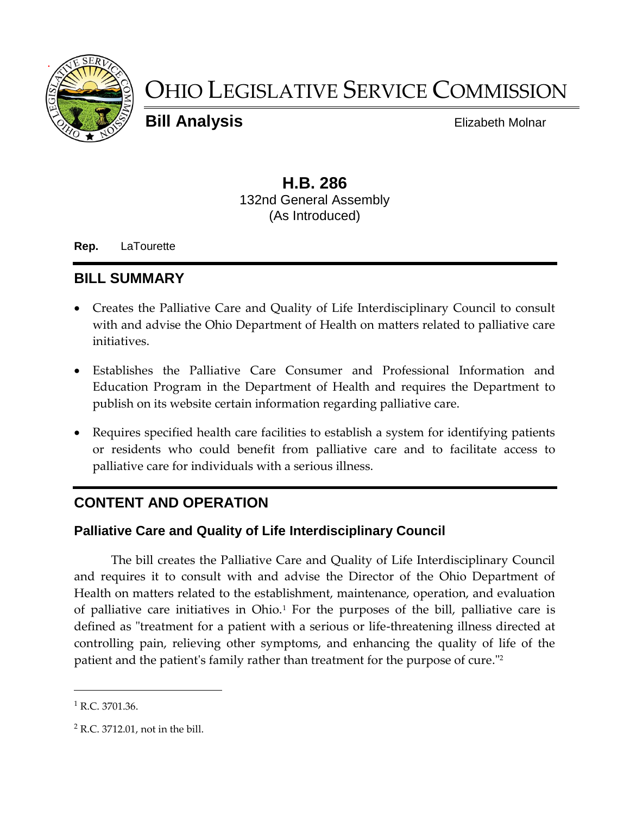

# OHIO LEGISLATIVE SERVICE COMMISSION

**Bill Analysis** Elizabeth Molnar

## **H.B. 286** 132nd General Assembly (As Introduced)

**Rep.** LaTourette

# **BILL SUMMARY**

- Creates the Palliative Care and Quality of Life Interdisciplinary Council to consult with and advise the Ohio Department of Health on matters related to palliative care initiatives.
- Establishes the Palliative Care Consumer and Professional Information and Education Program in the Department of Health and requires the Department to publish on its website certain information regarding palliative care.
- Requires specified health care facilities to establish a system for identifying patients or residents who could benefit from palliative care and to facilitate access to palliative care for individuals with a serious illness.

# **CONTENT AND OPERATION**

#### **Palliative Care and Quality of Life Interdisciplinary Council**

The bill creates the Palliative Care and Quality of Life Interdisciplinary Council and requires it to consult with and advise the Director of the Ohio Department of Health on matters related to the establishment, maintenance, operation, and evaluation of palliative care initiatives in Ohio.<sup>1</sup> For the purposes of the bill, palliative care is defined as "treatment for a patient with a serious or life-threatening illness directed at controlling pain, relieving other symptoms, and enhancing the quality of life of the patient and the patient's family rather than treatment for the purpose of cure."<sup>2</sup>

 $\overline{a}$ 

 $1$  R.C. 3701.36.

<sup>2</sup> R.C. 3712.01, not in the bill.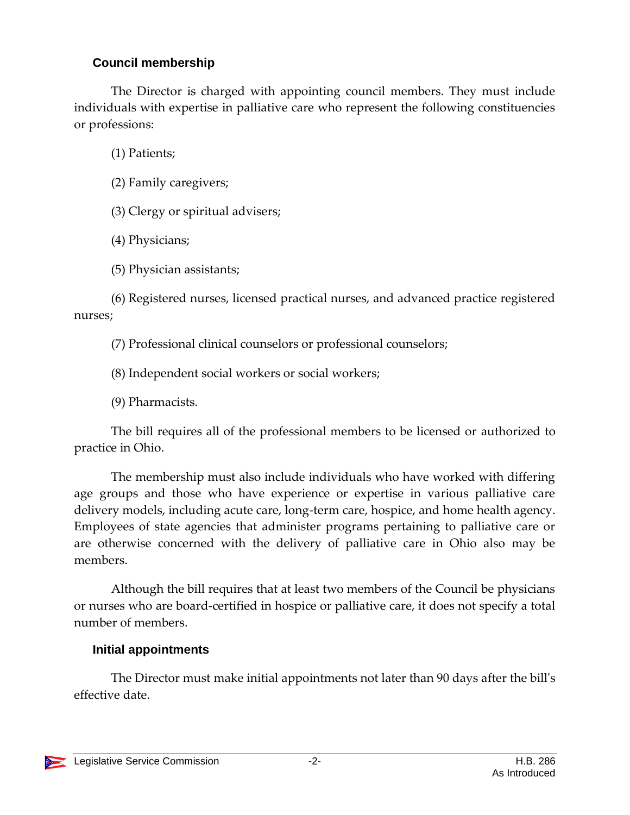#### **Council membership**

The Director is charged with appointing council members. They must include individuals with expertise in palliative care who represent the following constituencies or professions:

(1) Patients;

(2) Family caregivers;

(3) Clergy or spiritual advisers;

(4) Physicians;

(5) Physician assistants;

(6) Registered nurses, licensed practical nurses, and advanced practice registered nurses;

(7) Professional clinical counselors or professional counselors;

(8) Independent social workers or social workers;

(9) Pharmacists.

The bill requires all of the professional members to be licensed or authorized to practice in Ohio.

The membership must also include individuals who have worked with differing age groups and those who have experience or expertise in various palliative care delivery models, including acute care, long-term care, hospice, and home health agency. Employees of state agencies that administer programs pertaining to palliative care or are otherwise concerned with the delivery of palliative care in Ohio also may be members.

Although the bill requires that at least two members of the Council be physicians or nurses who are board-certified in hospice or palliative care, it does not specify a total number of members.

# **Initial appointments**

The Director must make initial appointments not later than 90 days after the bill's effective date.

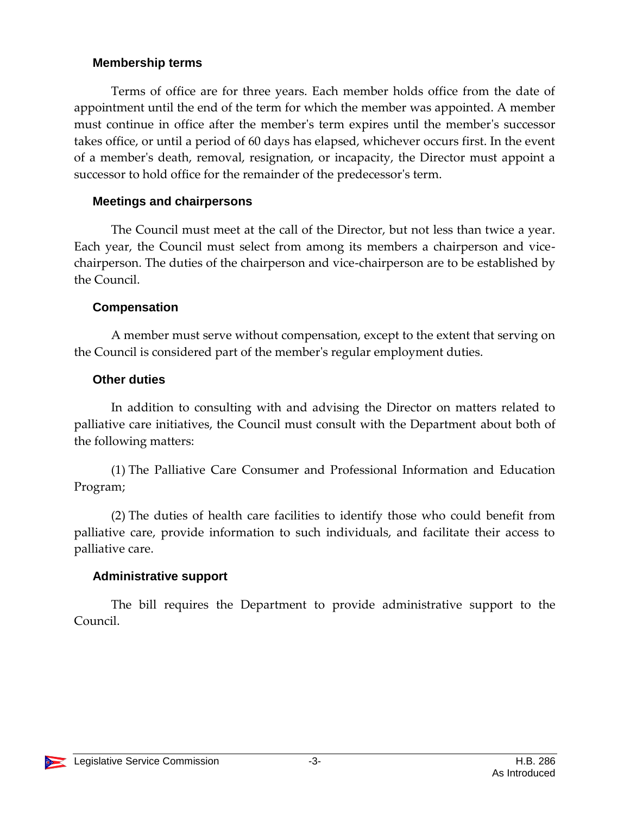#### **Membership terms**

Terms of office are for three years. Each member holds office from the date of appointment until the end of the term for which the member was appointed. A member must continue in office after the member's term expires until the member's successor takes office, or until a period of 60 days has elapsed, whichever occurs first. In the event of a member's death, removal, resignation, or incapacity, the Director must appoint a successor to hold office for the remainder of the predecessor's term.

#### **Meetings and chairpersons**

The Council must meet at the call of the Director, but not less than twice a year. Each year, the Council must select from among its members a chairperson and vicechairperson. The duties of the chairperson and vice-chairperson are to be established by the Council.

## **Compensation**

A member must serve without compensation, except to the extent that serving on the Council is considered part of the member's regular employment duties.

## **Other duties**

In addition to consulting with and advising the Director on matters related to palliative care initiatives, the Council must consult with the Department about both of the following matters:

(1) The Palliative Care Consumer and Professional Information and Education Program;

(2) The duties of health care facilities to identify those who could benefit from palliative care, provide information to such individuals, and facilitate their access to palliative care.

## **Administrative support**

The bill requires the Department to provide administrative support to the Council.

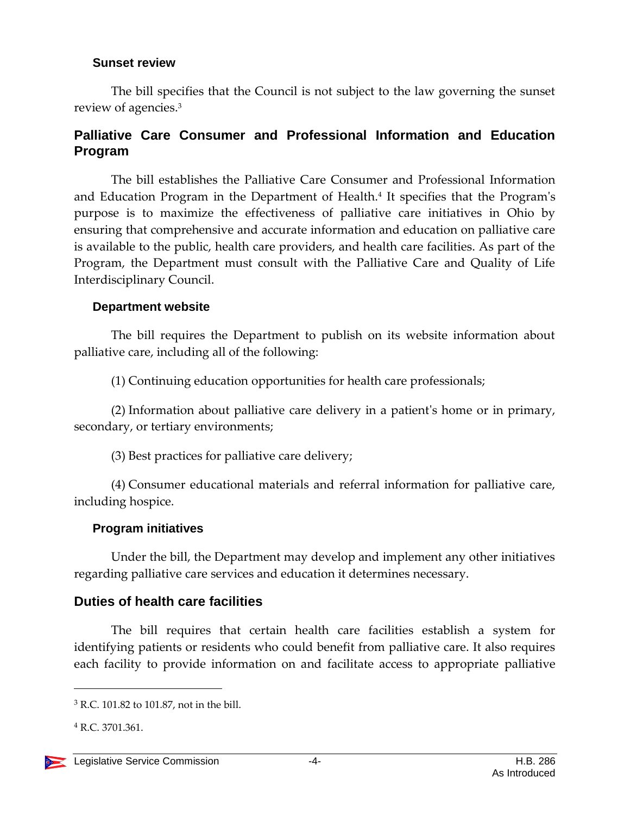#### **Sunset review**

The bill specifies that the Council is not subject to the law governing the sunset review of agencies.<sup>3</sup>

#### **Palliative Care Consumer and Professional Information and Education Program**

The bill establishes the Palliative Care Consumer and Professional Information and Education Program in the Department of Health.<sup>4</sup> It specifies that the Program's purpose is to maximize the effectiveness of palliative care initiatives in Ohio by ensuring that comprehensive and accurate information and education on palliative care is available to the public, health care providers, and health care facilities. As part of the Program, the Department must consult with the Palliative Care and Quality of Life Interdisciplinary Council.

#### **Department website**

The bill requires the Department to publish on its website information about palliative care, including all of the following:

(1) Continuing education opportunities for health care professionals;

(2) Information about palliative care delivery in a patient's home or in primary, secondary, or tertiary environments;

(3) Best practices for palliative care delivery;

(4) Consumer educational materials and referral information for palliative care, including hospice.

#### **Program initiatives**

Under the bill, the Department may develop and implement any other initiatives regarding palliative care services and education it determines necessary.

#### **Duties of health care facilities**

The bill requires that certain health care facilities establish a system for identifying patients or residents who could benefit from palliative care. It also requires each facility to provide information on and facilitate access to appropriate palliative

 $\overline{a}$ 

<sup>3</sup> R.C. 101.82 to 101.87, not in the bill.

<sup>4</sup> R.C. 3701.361.